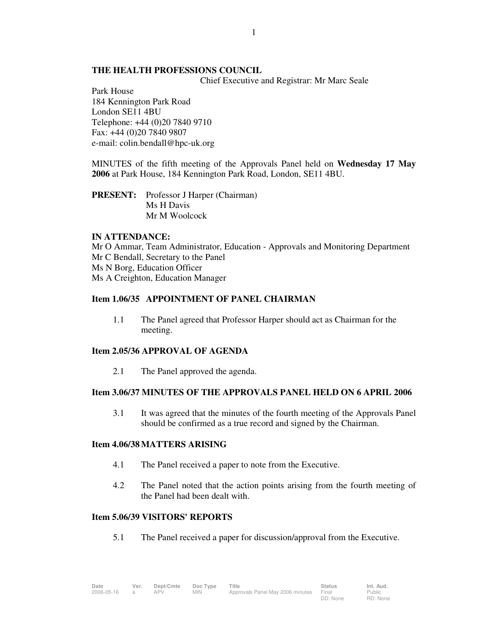## **THE HEALTH PROFESSIONS COUNCIL**

Chief Executive and Registrar: Mr Marc Seale

Park House 184 Kennington Park Road London SE11 4BU Telephone: +44 (0)20 7840 9710 Fax: +44 (0)20 7840 9807 e-mail: colin.bendall@hpc-uk.org

MINUTES of the fifth meeting of the Approvals Panel held on **Wednesday 17 May 2006** at Park House, 184 Kennington Park Road, London, SE11 4BU.

**PRESENT:** Professor J Harper (Chairman) Ms H Davis Mr M Woolcock

#### **IN ATTENDANCE:**

Mr O Ammar, Team Administrator, Education - Approvals and Monitoring Department Mr C Bendall, Secretary to the Panel Ms N Borg, Education Officer Ms A Creighton, Education Manager

## **Item 1.06/35 APPOINTMENT OF PANEL CHAIRMAN**

1.1 The Panel agreed that Professor Harper should act as Chairman for the meeting.

## **Item 2.05/36 APPROVAL OF AGENDA**

2.1 The Panel approved the agenda.

# **Item 3.06/37 MINUTES OF THE APPROVALS PANEL HELD ON 6 APRIL 2006**

 3.1 It was agreed that the minutes of the fourth meeting of the Approvals Panel should be confirmed as a true record and signed by the Chairman.

#### **Item 4.06/38 MATTERS ARISING**

- 4.1 The Panel received a paper to note from the Executive.
- 4.2 The Panel noted that the action points arising from the fourth meeting of the Panel had been dealt with.

#### **Item 5.06/39 VISITORS' REPORTS**

5.1 The Panel received a paper for discussion/approval from the Executive.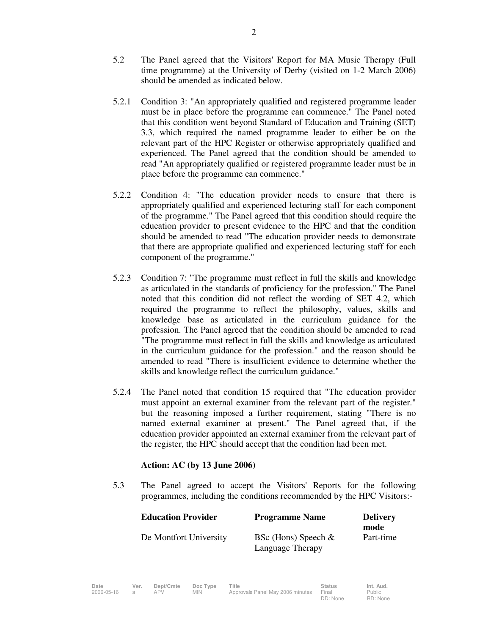- 5.2 The Panel agreed that the Visitors' Report for MA Music Therapy (Full time programme) at the University of Derby (visited on 1-2 March 2006) should be amended as indicated below.
- 5.2.1 Condition 3: "An appropriately qualified and registered programme leader must be in place before the programme can commence." The Panel noted that this condition went beyond Standard of Education and Training (SET) 3.3, which required the named programme leader to either be on the relevant part of the HPC Register or otherwise appropriately qualified and experienced. The Panel agreed that the condition should be amended to read "An appropriately qualified or registered programme leader must be in place before the programme can commence."
- 5.2.2 Condition 4: "The education provider needs to ensure that there is appropriately qualified and experienced lecturing staff for each component of the programme." The Panel agreed that this condition should require the education provider to present evidence to the HPC and that the condition should be amended to read "The education provider needs to demonstrate that there are appropriate qualified and experienced lecturing staff for each component of the programme."
- 5.2.3 Condition 7: "The programme must reflect in full the skills and knowledge as articulated in the standards of proficiency for the profession." The Panel noted that this condition did not reflect the wording of SET 4.2, which required the programme to reflect the philosophy, values, skills and knowledge base as articulated in the curriculum guidance for the profession. The Panel agreed that the condition should be amended to read "The programme must reflect in full the skills and knowledge as articulated in the curriculum guidance for the profession." and the reason should be amended to read "There is insufficient evidence to determine whether the skills and knowledge reflect the curriculum guidance."
- 5.2.4 The Panel noted that condition 15 required that "The education provider must appoint an external examiner from the relevant part of the register." but the reasoning imposed a further requirement, stating "There is no named external examiner at present." The Panel agreed that, if the education provider appointed an external examiner from the relevant part of the register, the HPC should accept that the condition had been met.

## **Action: AC (by 13 June 2006)**

 5.3 The Panel agreed to accept the Visitors' Reports for the following programmes, including the conditions recommended by the HPC Visitors:-

| <b>Education Provider</b> | <b>Programme Name</b>                     | <b>Delivery</b><br>mode |
|---------------------------|-------------------------------------------|-------------------------|
| De Montfort University    | BSc (Hons) Speech $&$<br>Language Therapy | Part-time               |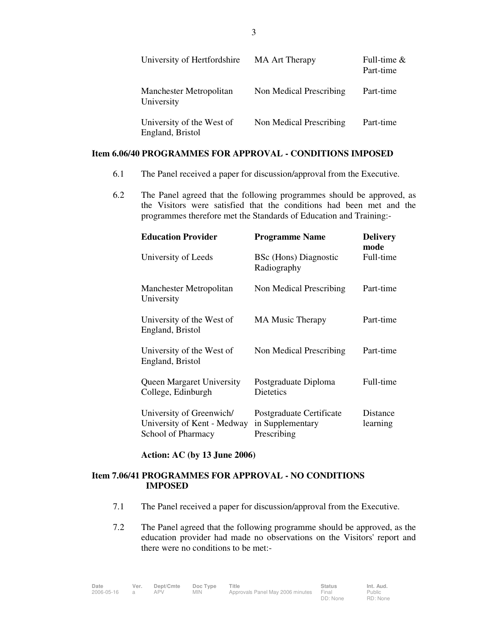|            | University of Hertfordshire                   | <b>MA Art Therapy</b>   | Full-time $\&$<br>Part-time |
|------------|-----------------------------------------------|-------------------------|-----------------------------|
| University | Manchester Metropolitan                       | Non Medical Prescribing | Part-time                   |
|            | University of the West of<br>England, Bristol | Non Medical Prescribing | Part-time                   |

### **Item 6.06/40 PROGRAMMES FOR APPROVAL - CONDITIONS IMPOSED**

- 6.1 The Panel received a paper for discussion/approval from the Executive.
- 6.2 The Panel agreed that the following programmes should be approved, as the Visitors were satisfied that the conditions had been met and the programmes therefore met the Standards of Education and Training:-

| <b>Education Provider</b>                                                     | <b>Programme Name</b>                                       | <b>Delivery</b><br>mode |
|-------------------------------------------------------------------------------|-------------------------------------------------------------|-------------------------|
| University of Leeds                                                           | BSc (Hons) Diagnostic<br>Radiography                        | Full-time               |
| Manchester Metropolitan<br>University                                         | Non Medical Prescribing                                     | Part-time               |
| University of the West of<br>England, Bristol                                 | <b>MA Music Therapy</b>                                     | Part-time               |
| University of the West of<br>England, Bristol                                 | Non Medical Prescribing                                     | Part-time               |
| <b>Queen Margaret University</b><br>College, Edinburgh                        | Postgraduate Diploma<br>Dietetics                           | Full-time               |
| University of Greenwich/<br>University of Kent - Medway<br>School of Pharmacy | Postgraduate Certificate<br>in Supplementary<br>Prescribing | Distance<br>learning    |

#### **Action: AC (by 13 June 2006)**

## **Item 7.06/41 PROGRAMMES FOR APPROVAL - NO CONDITIONS IMPOSED**

- 7.1 The Panel received a paper for discussion/approval from the Executive.
- 7.2 The Panel agreed that the following programme should be approved, as the education provider had made no observations on the Visitors' report and there were no conditions to be met:-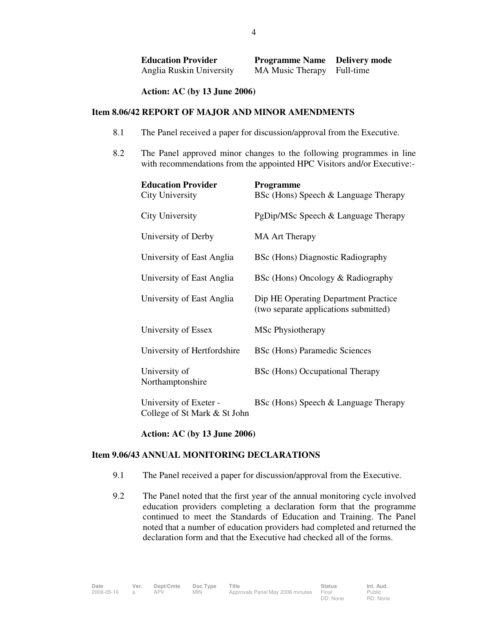| <b>Education Provider</b> | <b>Programme Name</b> Delivery mode |  |
|---------------------------|-------------------------------------|--|
| Anglia Ruskin University  | MA Music Therapy Full-time          |  |

**Action: AC (by 13 June 2006)** 

## **Item 8.06/42 REPORT OF MAJOR AND MINOR AMENDMENTS**

- 8.1 The Panel received a paper for discussion/approval from the Executive.
- 8.2 The Panel approved minor changes to the following programmes in line with recommendations from the appointed HPC Visitors and/or Executive:-

| <b>Education Provider</b><br><b>City University</b>    | <b>Programme</b><br>BSc (Hons) Speech & Language Therapy                      |
|--------------------------------------------------------|-------------------------------------------------------------------------------|
| City University                                        | PgDip/MSc Speech & Language Therapy                                           |
| University of Derby                                    | <b>MA Art Therapy</b>                                                         |
| University of East Anglia                              | BSc (Hons) Diagnostic Radiography                                             |
| University of East Anglia                              | BSc (Hons) Oncology & Radiography                                             |
| University of East Anglia                              | Dip HE Operating Department Practice<br>(two separate applications submitted) |
| University of Essex                                    | MSc Physiotherapy                                                             |
| University of Hertfordshire                            | <b>BSc (Hons) Paramedic Sciences</b>                                          |
| University of<br>Northamptonshire                      | BSc (Hons) Occupational Therapy                                               |
| University of Exeter -<br>College of St Mark & St John | BSc (Hons) Speech & Language Therapy                                          |

**Action: AC (by 13 June 2006)**

#### **Item 9.06/43 ANNUAL MONITORING DECLARATIONS**

- 9.1 The Panel received a paper for discussion/approval from the Executive.
- 9.2 The Panel noted that the first year of the annual monitoring cycle involved education providers completing a declaration form that the programme continued to meet the Standards of Education and Training. The Panel noted that a number of education providers had completed and returned the declaration form and that the Executive had checked all of the forms.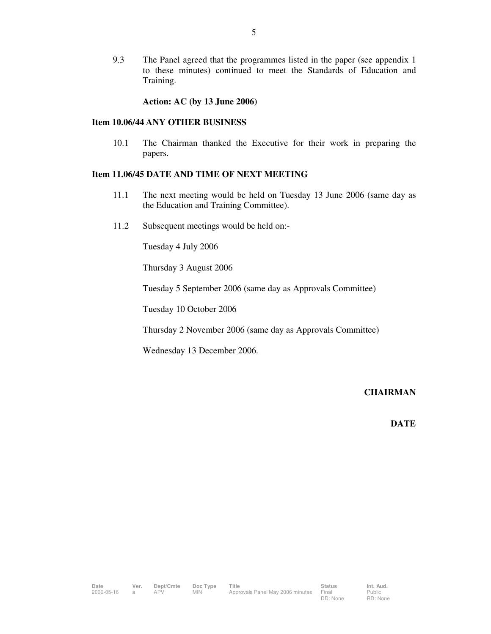9.3 The Panel agreed that the programmes listed in the paper (see appendix 1 to these minutes) continued to meet the Standards of Education and Training.

**Action: AC (by 13 June 2006)** 

#### **Item 10.06/44 ANY OTHER BUSINESS**

10.1 The Chairman thanked the Executive for their work in preparing the papers.

### **Item 11.06/45 DATE AND TIME OF NEXT MEETING**

- 11.1 The next meeting would be held on Tuesday 13 June 2006 (same day as the Education and Training Committee).
- 11.2 Subsequent meetings would be held on:-

Tuesday 4 July 2006

Thursday 3 August 2006

Tuesday 5 September 2006 (same day as Approvals Committee)

Tuesday 10 October 2006

Thursday 2 November 2006 (same day as Approvals Committee)

Wednesday 13 December 2006.

# **CHAIRMAN**

## **DATE**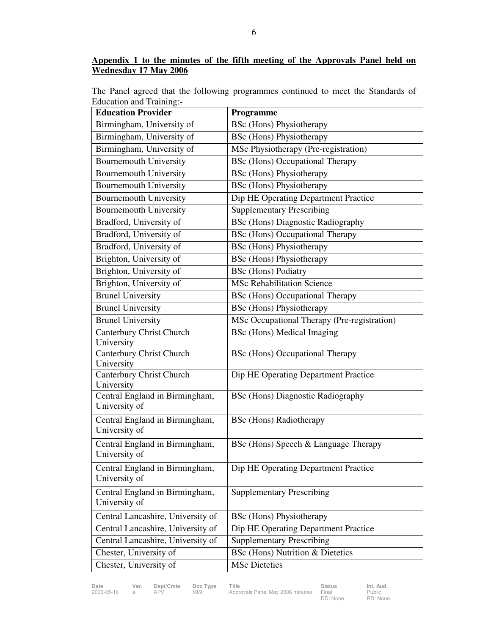## **Appendix 1 to the minutes of the fifth meeting of the Approvals Panel held on Wednesday 17 May 2006**

The Panel agreed that the following programmes continued to meet the Standards of Education and Training:-

| <b>Education Provider</b>              | Programme                                   |
|----------------------------------------|---------------------------------------------|
| Birmingham, University of              | <b>BSc</b> (Hons) Physiotherapy             |
| Birmingham, University of              | <b>BSc</b> (Hons) Physiotherapy             |
| Birmingham, University of              | MSc Physiotherapy (Pre-registration)        |
| <b>Bournemouth University</b>          | <b>BSc</b> (Hons) Occupational Therapy      |
| <b>Bournemouth University</b>          | <b>BSc</b> (Hons) Physiotherapy             |
| <b>Bournemouth University</b>          | <b>BSc</b> (Hons) Physiotherapy             |
| <b>Bournemouth University</b>          | Dip HE Operating Department Practice        |
| <b>Bournemouth University</b>          | <b>Supplementary Prescribing</b>            |
| Bradford, University of                | <b>BSc</b> (Hons) Diagnostic Radiography    |
| Bradford, University of                | <b>BSc</b> (Hons) Occupational Therapy      |
| Bradford, University of                | <b>BSc</b> (Hons) Physiotherapy             |
| Brighton, University of                | <b>BSc</b> (Hons) Physiotherapy             |
| Brighton, University of                | <b>BSc</b> (Hons) Podiatry                  |
| Brighton, University of                | <b>MSc Rehabilitation Science</b>           |
| <b>Brunel University</b>               | <b>BSc</b> (Hons) Occupational Therapy      |
| <b>Brunel University</b>               | <b>BSc</b> (Hons) Physiotherapy             |
| <b>Brunel University</b>               | MSc Occupational Therapy (Pre-registration) |
| Canterbury Christ Church               | BSc (Hons) Medical Imaging                  |
| University                             |                                             |
| Canterbury Christ Church               | <b>BSc</b> (Hons) Occupational Therapy      |
| University<br>Canterbury Christ Church | Dip HE Operating Department Practice        |
| University                             |                                             |
| Central England in Birmingham,         | <b>BSc (Hons) Diagnostic Radiography</b>    |
| University of                          |                                             |
| Central England in Birmingham,         | <b>BSc</b> (Hons) Radiotherapy              |
| University of                          |                                             |
| Central England in Birmingham,         | BSc (Hons) Speech & Language Therapy        |
| University of                          |                                             |
| Central England in Birmingham,         | Dip HE Operating Department Practice        |
| University of                          |                                             |
| Central England in Birmingham,         | <b>Supplementary Prescribing</b>            |
| University of                          |                                             |
| Central Lancashire, University of      | <b>BSc</b> (Hons) Physiotherapy             |
| Central Lancashire, University of      | Dip HE Operating Department Practice        |
| Central Lancashire, University of      | <b>Supplementary Prescribing</b>            |
| Chester, University of                 | <b>BSc</b> (Hons) Nutrition & Dietetics     |
| Chester, University of                 | <b>MSc Dietetics</b>                        |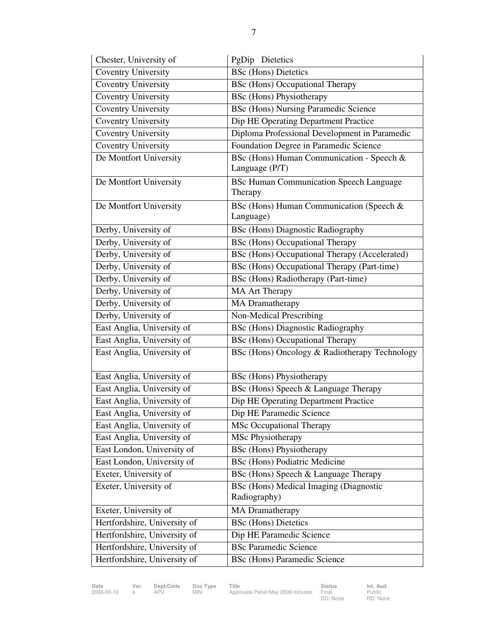| Chester, University of       | PgDip Dietetics                                |
|------------------------------|------------------------------------------------|
| <b>Coventry University</b>   | <b>BSc</b> (Hons) Dietetics                    |
| <b>Coventry University</b>   | <b>BSc</b> (Hons) Occupational Therapy         |
| <b>Coventry University</b>   | BSc (Hons) Physiotherapy                       |
| <b>Coventry University</b>   | <b>BSc (Hons) Nursing Paramedic Science</b>    |
| Coventry University          | Dip HE Operating Department Practice           |
| <b>Coventry University</b>   | Diploma Professional Development in Paramedic  |
| <b>Coventry University</b>   | Foundation Degree in Paramedic Science         |
| De Montfort University       | BSc (Hons) Human Communication - Speech &      |
|                              | Language (P/T)                                 |
| De Montfort University       | <b>BSc Human Communication Speech Language</b> |
|                              | Therapy                                        |
| De Montfort University       | BSc (Hons) Human Communication (Speech &       |
|                              | Language)                                      |
| Derby, University of         | <b>BSc</b> (Hons) Diagnostic Radiography       |
| Derby, University of         | <b>BSc</b> (Hons) Occupational Therapy         |
| Derby, University of         | BSc (Hons) Occupational Therapy (Accelerated)  |
| Derby, University of         | BSc (Hons) Occupational Therapy (Part-time)    |
| Derby, University of         | BSc (Hons) Radiotherapy (Part-time)            |
| Derby, University of         | <b>MA Art Therapy</b>                          |
| Derby, University of         | <b>MA</b> Dramatherapy                         |
| Derby, University of         | Non-Medical Prescribing                        |
| East Anglia, University of   | <b>BSc</b> (Hons) Diagnostic Radiography       |
| East Anglia, University of   | <b>BSc</b> (Hons) Occupational Therapy         |
| East Anglia, University of   | BSc (Hons) Oncology & Radiotherapy Technology  |
|                              |                                                |
| East Anglia, University of   | <b>BSc</b> (Hons) Physiotherapy                |
| East Anglia, University of   | BSc (Hons) Speech & Language Therapy           |
| East Anglia, University of   | Dip HE Operating Department Practice           |
| East Anglia, University of   | Dip HE Paramedic Science                       |
| East Anglia, University of   | <b>MSc Occupational Therapy</b>                |
| East Anglia, University of   | MSc Physiotherapy                              |
| East London, University of   | <b>BSc</b> (Hons) Physiotherapy                |
| East London, University of   | <b>BSc</b> (Hons) Podiatric Medicine           |
| Exeter, University of        | BSc (Hons) Speech & Language Therapy           |
| Exeter, University of        | BSc (Hons) Medical Imaging (Diagnostic         |
|                              | Radiography)                                   |
| Exeter, University of        | <b>MA</b> Dramatherapy                         |
| Hertfordshire, University of | <b>BSc</b> (Hons) Dietetics                    |
| Hertfordshire, University of | Dip HE Paramedic Science                       |
| Hertfordshire, University of | <b>BSc Paramedic Science</b>                   |
| Hertfordshire, University of | <b>BSc</b> (Hons) Paramedic Science            |

**Date Ver. Dept/Cmte Doc Type Title Status Status Status Panel May 2006 minutes Final Status** Approvals Panel May 2006 minutes

Status<br>Final<br>DD: None

Public RD: None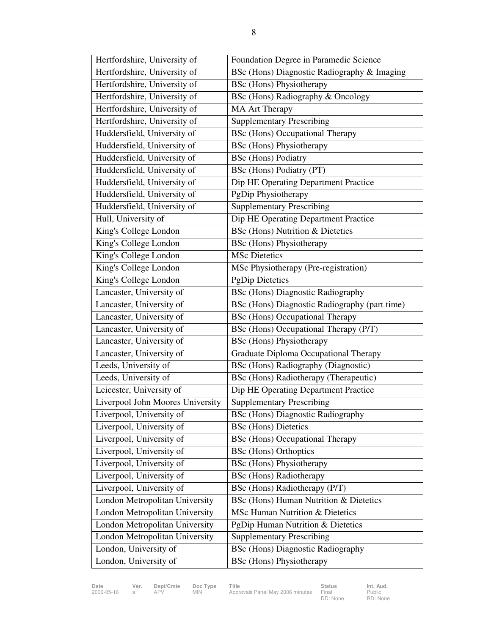| Hertfordshire, University of     | Foundation Degree in Paramedic Science        |
|----------------------------------|-----------------------------------------------|
| Hertfordshire, University of     | BSc (Hons) Diagnostic Radiography & Imaging   |
| Hertfordshire, University of     | <b>BSc</b> (Hons) Physiotherapy               |
| Hertfordshire, University of     | BSc (Hons) Radiography & Oncology             |
| Hertfordshire, University of     | <b>MA Art Therapy</b>                         |
| Hertfordshire, University of     | <b>Supplementary Prescribing</b>              |
| Huddersfield, University of      | <b>BSc</b> (Hons) Occupational Therapy        |
| Huddersfield, University of      | <b>BSc</b> (Hons) Physiotherapy               |
| Huddersfield, University of      | <b>BSc</b> (Hons) Podiatry                    |
| Huddersfield, University of      | BSc (Hons) Podiatry (PT)                      |
| Huddersfield, University of      | Dip HE Operating Department Practice          |
| Huddersfield, University of      | PgDip Physiotherapy                           |
| Huddersfield, University of      | <b>Supplementary Prescribing</b>              |
| Hull, University of              | Dip HE Operating Department Practice          |
| King's College London            | <b>BSc</b> (Hons) Nutrition & Dietetics       |
| King's College London            | <b>BSc</b> (Hons) Physiotherapy               |
| King's College London            | <b>MSc Dietetics</b>                          |
| King's College London            | MSc Physiotherapy (Pre-registration)          |
| King's College London            | <b>PgDip Dietetics</b>                        |
| Lancaster, University of         | <b>BSc</b> (Hons) Diagnostic Radiography      |
| Lancaster, University of         | BSc (Hons) Diagnostic Radiography (part time) |
| Lancaster, University of         | <b>BSc</b> (Hons) Occupational Therapy        |
| Lancaster, University of         | BSc (Hons) Occupational Therapy (P/T)         |
| Lancaster, University of         | <b>BSc</b> (Hons) Physiotherapy               |
| Lancaster, University of         | Graduate Diploma Occupational Therapy         |
| Leeds, University of             | BSc (Hons) Radiography (Diagnostic)           |
| Leeds, University of             | BSc (Hons) Radiotherapy (Therapeutic)         |
| Leicester, University of         | Dip HE Operating Department Practice          |
| Liverpool John Moores University | <b>Supplementary Prescribing</b>              |
| Liverpool, University of         | <b>BSc (Hons) Diagnostic Radiography</b>      |
| Liverpool, University of         | <b>BSc</b> (Hons) Dietetics                   |
| Liverpool, University of         | <b>BSc</b> (Hons) Occupational Therapy        |
| Liverpool, University of         | <b>BSc</b> (Hons) Orthoptics                  |
| Liverpool, University of         | <b>BSc</b> (Hons) Physiotherapy               |
| Liverpool, University of         | <b>BSc</b> (Hons) Radiotherapy                |
| Liverpool, University of         | BSc (Hons) Radiotherapy (P/T)                 |
| London Metropolitan University   | BSc (Hons) Human Nutrition & Dietetics        |
| London Metropolitan University   | MSc Human Nutrition & Dietetics               |
| London Metropolitan University   | PgDip Human Nutrition & Dietetics             |
| London Metropolitan University   | <b>Supplementary Prescribing</b>              |
| London, University of            | <b>BSc</b> (Hons) Diagnostic Radiography      |
| London, University of            | <b>BSc</b> (Hons) Physiotherapy               |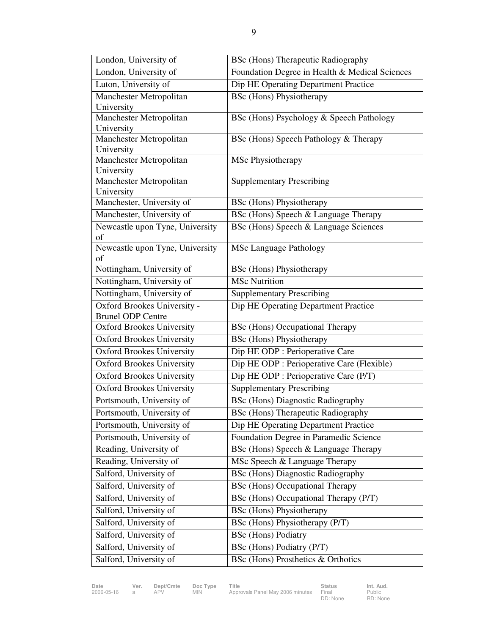| London, University of                 | <b>BSc</b> (Hons) Therapeutic Radiography      |
|---------------------------------------|------------------------------------------------|
| London, University of                 | Foundation Degree in Health & Medical Sciences |
| Luton, University of                  | Dip HE Operating Department Practice           |
| Manchester Metropolitan               | <b>BSc</b> (Hons) Physiotherapy                |
| University                            |                                                |
| Manchester Metropolitan               | BSc (Hons) Psychology & Speech Pathology       |
| University                            |                                                |
| Manchester Metropolitan<br>University | BSc (Hons) Speech Pathology & Therapy          |
| Manchester Metropolitan               | MSc Physiotherapy                              |
| University                            |                                                |
| Manchester Metropolitan               | <b>Supplementary Prescribing</b>               |
| University                            |                                                |
| Manchester, University of             | <b>BSc</b> (Hons) Physiotherapy                |
| Manchester, University of             | BSc (Hons) Speech & Language Therapy           |
| Newcastle upon Tyne, University       | BSc (Hons) Speech & Language Sciences          |
| of                                    |                                                |
| Newcastle upon Tyne, University<br>of | <b>MSc Language Pathology</b>                  |
| Nottingham, University of             | <b>BSc</b> (Hons) Physiotherapy                |
| Nottingham, University of             | <b>MSc Nutrition</b>                           |
| Nottingham, University of             | <b>Supplementary Prescribing</b>               |
| Oxford Brookes University -           | Dip HE Operating Department Practice           |
| <b>Brunel ODP Centre</b>              |                                                |
| <b>Oxford Brookes University</b>      | <b>BSc</b> (Hons) Occupational Therapy         |
| <b>Oxford Brookes University</b>      | <b>BSc</b> (Hons) Physiotherapy                |
| <b>Oxford Brookes University</b>      | Dip HE ODP : Perioperative Care                |
| <b>Oxford Brookes University</b>      | Dip HE ODP : Perioperative Care (Flexible)     |
| <b>Oxford Brookes University</b>      | Dip HE ODP : Perioperative Care (P/T)          |
| <b>Oxford Brookes University</b>      | <b>Supplementary Prescribing</b>               |
| Portsmouth, University of             | <b>BSc (Hons) Diagnostic Radiography</b>       |
| Portsmouth, University of             | BSc (Hons) Therapeutic Radiography             |
| Portsmouth, University of             | Dip HE Operating Department Practice           |
| Portsmouth, University of             | Foundation Degree in Paramedic Science         |
| Reading, University of                | BSc (Hons) Speech & Language Therapy           |
| Reading, University of                | MSc Speech & Language Therapy                  |
| Salford, University of                | <b>BSc</b> (Hons) Diagnostic Radiography       |
| Salford, University of                | <b>BSc</b> (Hons) Occupational Therapy         |
| Salford, University of                | BSc (Hons) Occupational Therapy (P/T)          |
| Salford, University of                | <b>BSc</b> (Hons) Physiotherapy                |
| Salford, University of                | BSc (Hons) Physiotherapy (P/T)                 |
| Salford, University of                | <b>BSc</b> (Hons) Podiatry                     |
| Salford, University of                | BSc (Hons) Podiatry (P/T)                      |
| Salford, University of                | BSc (Hons) Prosthetics & Orthotics             |

**Date Ver. Dept/Cmte Doc Type Title Status Status Status Panel May 2006 minutes Final Status** Approvals Panel May 2006 minutes

Status<br>Final<br>DD: None

Public RD: None